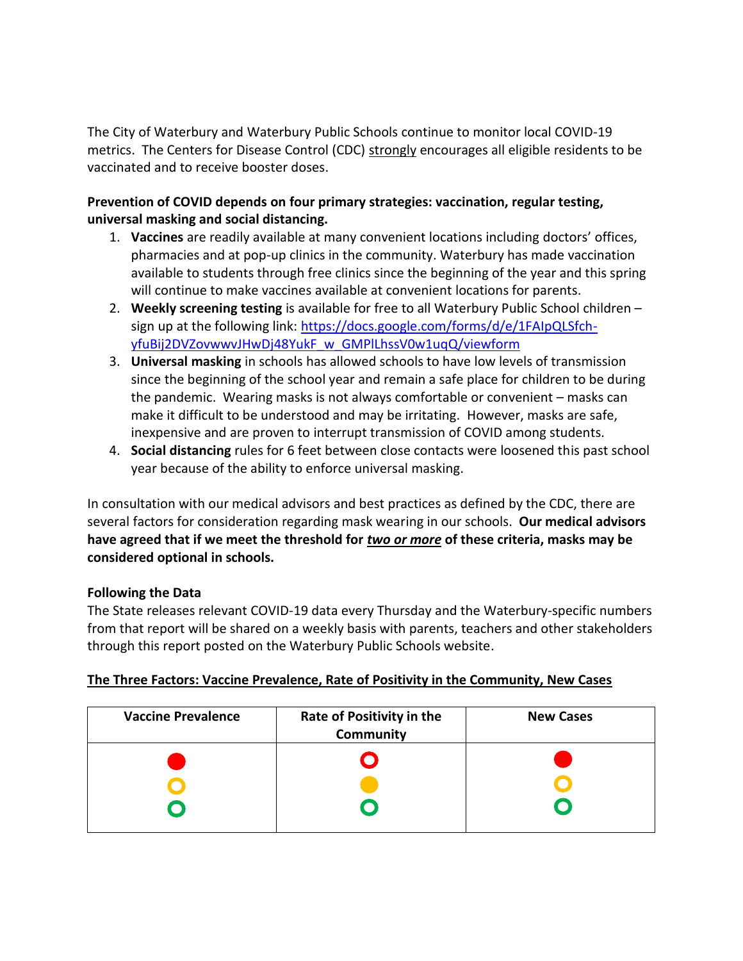The City of Waterbury and Waterbury Public Schools continue to monitor local COVID-19 metrics. The Centers for Disease Control (CDC) strongly encourages all eligible residents to be vaccinated and to receive booster doses.

## **Prevention of COVID depends on four primary strategies: vaccination, regular testing, universal masking and social distancing.**

- 1. **Vaccines** are readily available at many convenient locations including doctors' offices, pharmacies and at pop-up clinics in the community. Waterbury has made vaccination available to students through free clinics since the beginning of the year and this spring will continue to make vaccines available at convenient locations for parents.
- 2. **Weekly screening testing** is available for free to all Waterbury Public School children sign up at the following link: [https://docs.google.com/forms/d/e/1FAIpQLSfch](https://docs.google.com/forms/d/e/1FAIpQLSfch-yfuBij2DVZovwwvJHwDj48YukF_w_GMPlLhssV0w1uqQ/viewform)[yfuBij2DVZovwwvJHwDj48YukF\\_w\\_GMPlLhssV0w1uqQ/viewform](https://docs.google.com/forms/d/e/1FAIpQLSfch-yfuBij2DVZovwwvJHwDj48YukF_w_GMPlLhssV0w1uqQ/viewform)
- 3. **Universal masking** in schools has allowed schools to have low levels of transmission since the beginning of the school year and remain a safe place for children to be during the pandemic. Wearing masks is not always comfortable or convenient – masks can make it difficult to be understood and may be irritating. However, masks are safe, inexpensive and are proven to interrupt transmission of COVID among students.
- 4. **Social distancing** rules for 6 feet between close contacts were loosened this past school year because of the ability to enforce universal masking.

In consultation with our medical advisors and best practices as defined by the CDC, there are several factors for consideration regarding mask wearing in our schools. **Our medical advisors have agreed that if we meet the threshold for** *two or more* **of these criteria, masks may be considered optional in schools.**

## **Following the Data**

The State releases relevant COVID-19 data every Thursday and the Waterbury-specific numbers from that report will be shared on a weekly basis with parents, teachers and other stakeholders through this report posted on the Waterbury Public Schools website.

|--|

| <b>Vaccine Prevalence</b> | Rate of Positivity in the<br>Community | <b>New Cases</b> |  |  |
|---------------------------|----------------------------------------|------------------|--|--|
|                           |                                        |                  |  |  |
|                           |                                        |                  |  |  |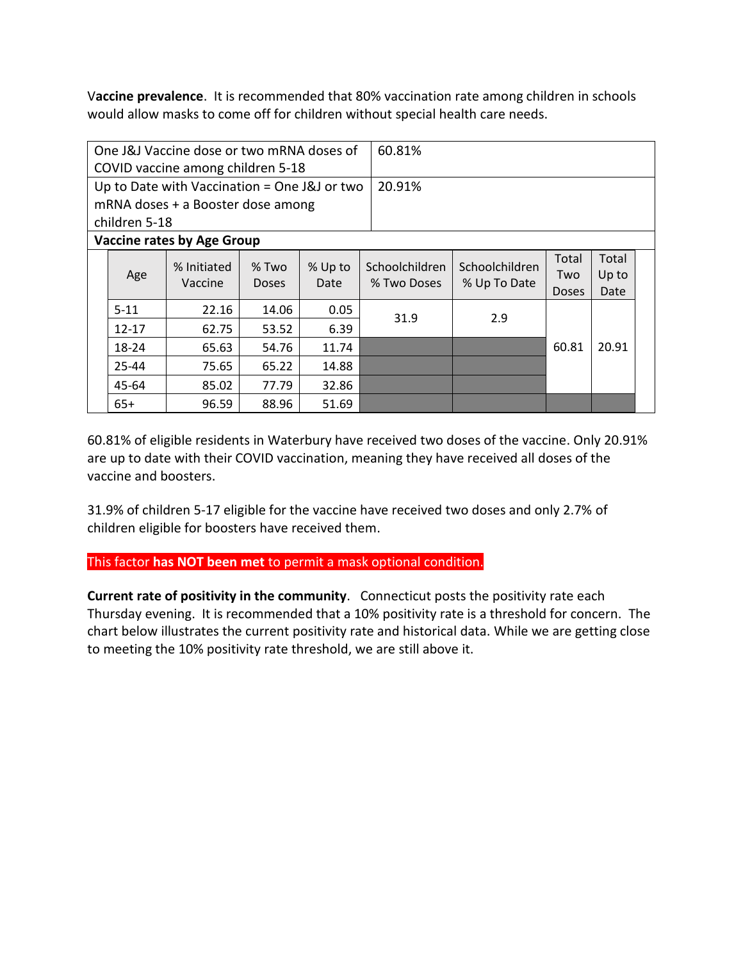V**accine prevalence**. It is recommended that 80% vaccination rate among children in schools would allow masks to come off for children without special health care needs.

| One J&J Vaccine dose or two mRNA doses of       |           |                                                   |       | 60.81%          |             |                                                  |              |       |  |  |  |
|-------------------------------------------------|-----------|---------------------------------------------------|-------|-----------------|-------------|--------------------------------------------------|--------------|-------|--|--|--|
| COVID vaccine among children 5-18               |           |                                                   |       |                 |             |                                                  |              |       |  |  |  |
| Up to Date with Vaccination = One $J\&J$ or two |           |                                                   |       | 20.91%          |             |                                                  |              |       |  |  |  |
| mRNA doses + a Booster dose among               |           |                                                   |       |                 |             |                                                  |              |       |  |  |  |
| children 5-18                                   |           |                                                   |       |                 |             |                                                  |              |       |  |  |  |
| <b>Vaccine rates by Age Group</b>               |           |                                                   |       |                 |             |                                                  |              |       |  |  |  |
|                                                 | Age       | % Initiated<br>$%$ Two<br>Vaccine<br><b>Doses</b> |       | % Up to<br>Date |             | Schoolchildren<br>Schoolchildren<br>% Up To Date | Total        | Total |  |  |  |
|                                                 |           |                                                   |       |                 | % Two Doses |                                                  | Two          | Up to |  |  |  |
|                                                 |           |                                                   |       |                 |             |                                                  | <b>Doses</b> | Date  |  |  |  |
|                                                 | $5 - 11$  | 22.16                                             | 14.06 | 0.05            | 31.9        | 2.9                                              |              |       |  |  |  |
|                                                 | $12 - 17$ | 62.75                                             | 53.52 | 6.39            |             |                                                  | 60.81        | 20.91 |  |  |  |
|                                                 | 18-24     | 65.63                                             | 54.76 | 11.74           |             |                                                  |              |       |  |  |  |
|                                                 | 25-44     | 75.65                                             | 65.22 | 14.88           |             |                                                  |              |       |  |  |  |
|                                                 | 45-64     | 85.02                                             | 77.79 | 32.86           |             |                                                  |              |       |  |  |  |
|                                                 | $65+$     | 96.59                                             | 88.96 | 51.69           |             |                                                  |              |       |  |  |  |

60.81% of eligible residents in Waterbury have received two doses of the vaccine. Only 20.91% are up to date with their COVID vaccination, meaning they have received all doses of the vaccine and boosters.

31.9% of children 5-17 eligible for the vaccine have received two doses and only 2.7% of children eligible for boosters have received them.

This factor **has NOT been met** to permit a mask optional condition.

**Current rate of positivity in the community**. Connecticut posts the positivity rate each Thursday evening. It is recommended that a 10% positivity rate is a threshold for concern. The chart below illustrates the current positivity rate and historical data. While we are getting close to meeting the 10% positivity rate threshold, we are still above it.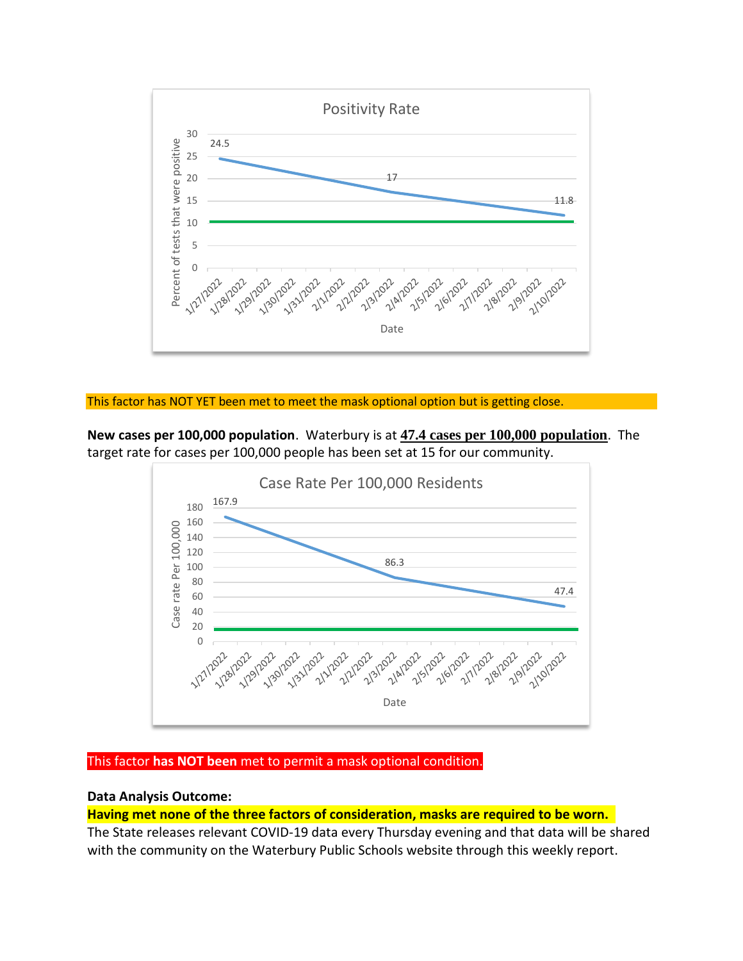

### This factor has NOT YET been met to meet the mask optional option but is getting close.

**New cases per 100,000 population**. Waterbury is at **47.4 cases per 100,000 population**. The target rate for cases per 100,000 people has been set at 15 for our community.



### This factor **has NOT been** met to permit a mask optional condition.

### **Data Analysis Outcome:**

**Having met none of the three factors of consideration, masks are required to be worn.** 

The State releases relevant COVID-19 data every Thursday evening and that data will be shared with the community on the Waterbury Public Schools website through this weekly report.